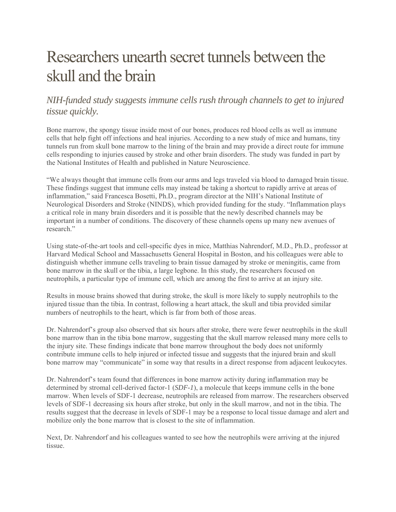## Researchers unearth secret tunnels between the skull and the brain

## *NIH-funded study suggests immune cells rush through channels to get to injured tissue quickly.*

Bone marrow, the spongy tissue inside most of our bones, produces red blood cells as well as immune cells that help fight off infections and heal injuries. According to a new study of mice and humans, tiny tunnels run from skull bone marrow to the lining of the brain and may provide a direct route for immune cells responding to injuries caused by stroke and other brain disorders. The study was funded in part by the National Institutes of Health and published in Nature Neuroscience.

"We always thought that immune cells from our arms and legs traveled via blood to damaged brain tissue. These findings suggest that immune cells may instead be taking a shortcut to rapidly arrive at areas of inflammation," said Francesca Bosetti, Ph.D., program director at the NIH's National Institute of Neurological Disorders and Stroke (NINDS), which provided funding for the study. "Inflammation plays a critical role in many brain disorders and it is possible that the newly described channels may be important in a number of conditions. The discovery of these channels opens up many new avenues of research."

Using state-of-the-art tools and cell-specific dyes in mice, Matthias Nahrendorf, M.D., Ph.D., professor at Harvard Medical School and Massachusetts General Hospital in Boston, and his colleagues were able to distinguish whether immune cells traveling to brain tissue damaged by stroke or meningitis, came from bone marrow in the skull or the tibia, a large legbone. In this study, the researchers focused on neutrophils, a particular type of immune cell, which are among the first to arrive at an injury site.

Results in mouse brains showed that during stroke, the skull is more likely to supply neutrophils to the injured tissue than the tibia. In contrast, following a heart attack, the skull and tibia provided similar numbers of neutrophils to the heart, which is far from both of those areas.

Dr. Nahrendorf's group also observed that six hours after stroke, there were fewer neutrophils in the skull bone marrow than in the tibia bone marrow, suggesting that the skull marrow released many more cells to the injury site. These findings indicate that bone marrow throughout the body does not uniformly contribute immune cells to help injured or infected tissue and suggests that the injured brain and skull bone marrow may "communicate" in some way that results in a direct response from adjacent leukocytes.

Dr. Nahrendorf's team found that differences in bone marrow activity during inflammation may be determined by stromal cell-derived factor-1 (*SDF-1*), a molecule that keeps immune cells in the bone marrow. When levels of SDF-1 decrease, neutrophils are released from marrow. The researchers observed levels of SDF-1 decreasing six hours after stroke, but only in the skull marrow, and not in the tibia. The results suggest that the decrease in levels of SDF-1 may be a response to local tissue damage and alert and mobilize only the bone marrow that is closest to the site of inflammation.

Next, Dr. Nahrendorf and his colleagues wanted to see how the neutrophils were arriving at the injured tissue.